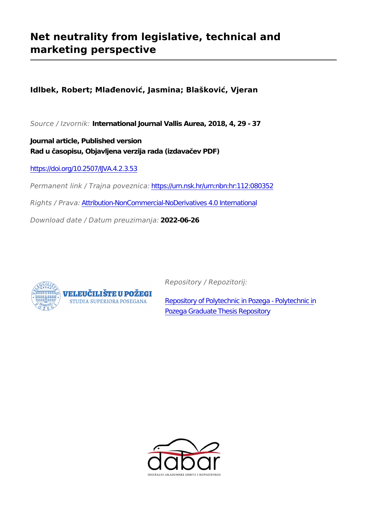# **Net neutrality from legislative, technical and marketing perspective**

**Idlbek, Robert; Mlađenović, Jasmina; Blašković, Vjeran**

*Source / Izvornik:* **International Journal Vallis Aurea, 2018, 4, 29 - 37**

**Journal article, Published version Rad u časopisu, Objavljena verzija rada (izdavačev PDF)**

<https://doi.org/10.2507/IJVA.4.2.3.53>

*Permanent link / Trajna poveznica:* <https://urn.nsk.hr/urn:nbn:hr:112:080352>

*Rights / Prava:* [Attribution-NonCommercial-NoDerivatives 4.0 International](http://creativecommons.org/licenses/by-nc-nd/4.0/)

*Download date / Datum preuzimanja:* **2022-06-26**



*Repository / Repozitorij:*

[Repository of Polytechnic in Pozega - Polytechnic in](https://repozitorij.vup.hr) [Pozega Graduate Thesis Repository](https://repozitorij.vup.hr)

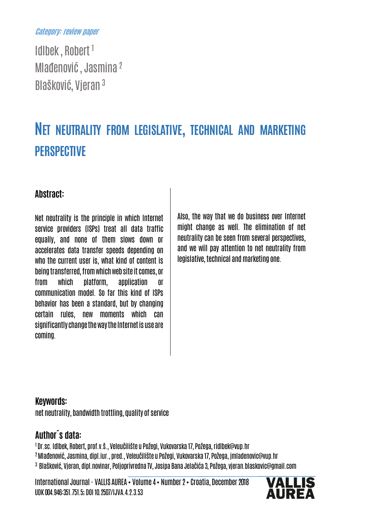#### Category: review paper

Idlbek , Robert <sup>1</sup> Mlađenović , Jasmina <sup>2</sup> Blašković, Vjeran <sup>3</sup>

# NET NEUTRALITY FROM LEGISLATIVE, TECHNICAL AND MARKETING **PERSPECTIVE**

#### Abstract:

Net neutrality is the principle in which Internet service providers (ISPs) treat all data traffic equally, and none of them slows down or accelerates data transfer speeds depending on who the current user is, what kind of content is being transferred, fromwhich web site it comes, or from which platform, application or communication model. So far this kind of ISPs behavior has been a standard, but by changing certain rules, new moments which can significantly change the way the Internet is use are coming.

Also, the way that we do business over Internet might change as well. The elimination of net neutrality can be seen from several perspectives, and we will pay attention to net neutrality from legislative, technical and marketing one.

#### Keywords:

net neutrality, bandwidth trottling, quality of service

### Author´s data:

1 Dr.sc. Idlbek, Robert, prof.v.š., Veleučilište u Požegi, Vukovarska 17, Požega, ridlbek@vup.hr

- <sup>2</sup>Mlađenović, Jasmina, dipl.iur., pred., Veleučilište u Požegi, Vukovarska 17, Požega, jmladenovic@vup.hr
- 3 Blašković, Vjeran, dipl.novinar, Poljoprivredna TV, Josipa Bana Jelačića 3, Požega, vjeran.blaskovic@gmail.com

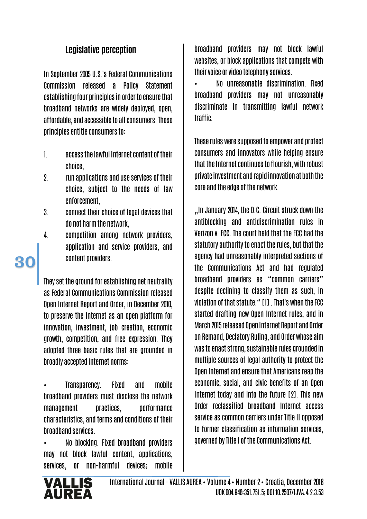## Legislative perception

In September 2005 U.S.'s Federal Communications Commission released a Policy Statement establishing four principles in order to ensure that broadband networks are widely deployed, open, affordable, and accessible to all consumers. Those principles entitle consumers to:

- 1. access the lawful Internet content of their choice,
- 2. run applications and use services of their choice, subject to the needs of law enforcement,
- 3. connect their choice of legal devices that do not harm the network,
- 4. competition among network providers, application and service providers, and content providers.

They set the ground for establishing net neutrality as Federal Communications Commission released Open Internet Report and Order, in December 2010, to preserve the Internet as an open platform for innovation, investment, job creation, economic growth, competition, and free expression. They adopted three basic rules that are grounded in broadly accepted Internet norms:

• Transparency. Fixed and mobile broadband providers must disclose the network management practices, performance characteristics, and terms and conditions of their broadband services.

• No blocking. Fixed broadband providers may not block lawful content, applications, services, or non-harmful devices; mobile

broadband providers may not block lawful websites, or block applications that compete with their voice or video telephony services.

• No unreasonable discrimination. Fixed broadband providers may not unreasonably discriminate in transmitting lawful network traffic.

These rules were supposed to empower and protect consumers and innovators while helping ensure that the Internet continues to flourish, with robust private investment and rapid innovation at both the core and the edge of the network.

"In January 2014, the D.C. Circuit struck down the antiblocking and antidiscrimination rules in Verizon v. FCC. The court held that the FCC had the statutory authority to enact the rules, but that the agency had unreasonably interpreted sections of the Communications Act and had regulated broadband providers as "common carriers" despite declining to classify them as such, in violation of that statute." [1] . That's when the FCC started drafting new Open Internet rules, and in March 2015 released Open Internet Report and Order on Remand, Declatory Ruling, and Order whose aim was to enact strong, sustainable rules grounded in multiple sources of legal authority to protect the Open Internet and ensure that Americans reap the economic, social, and civic benefits of an Open Internet today and into the future [2]. This new Order reclassified broadband Internet access service as common carriers under Title II opposed to former classification as information services, governed by Title I of the Communications Act.

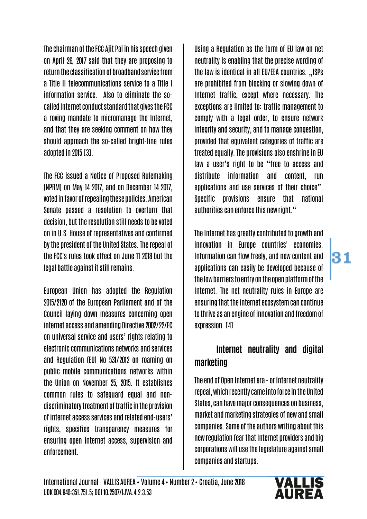The chairman of the FCC Ajit Pai in his speech given on April 26, 2017 said that they are proposing to return the classification of broadband service from a Title II telecommunications service to a Title I information service. Also to eliminate the socalled Internet conduct standard that gives the FCC a roving mandate to micromanage the Internet, and that they are seeking comment on how they should approach the so-called bright-line rules adopted in 2015 [3].

The FCC issued a Notice of Proposed Rulemaking (NPRM) on May 14 2017, and on December 14 2017, voted in favor of repealing these policies. American Senate passed a resolution to overturn that decision, but the resolution still needs to be voted on in U.S. House of representatives and confirmed by the president of the United States. The repeal of the FCC's rules took effect on June 11 2018 but the legal battle against it still remains.

European Union has adopted the Regulation 2015/2120 of the European Parliament and of the Council laying down measures concerning open internet access and amending Directive 2002/22/EC on universal service and users' rights relating to electronic communications networks and services and Regulation (EU) No 531/2012 on roaming on public mobile communications networks within the Union on November 25, 2015. It establishes common rules to safeguard equal and nondiscriminatory treatment of traffic in the provision of internet access services and related end-users' rights, specifies transparency measures for ensuring open internet access, supervision and enforcement.

Using a Regulation as the form of EU law on net neutrality is enabling that the precise wording of the law is identical in all EU/EEA countries. ..ISPs are prohibited from blocking or slowing down of Internet traffic, except where necessary. The exceptions are limited to: traffic management to comply with a legal order, to ensure network integrity and security, and to manage congestion, provided that equivalent categories of traffic are treated equally. The provisions also enshrine in EU law a user's right to be "free to access and distribute information and content, run applications and use services of their choice". Specific provisions ensure that national authorities can enforce this new right."

The Internet has greatly contributed to growth and innovation in Europe countries' economies. Information can flow freely, and new content and applications can easily be developed because of the low barriers to entry on the open platform of the Internet. The net neutrality rules in Europe are ensuring that the internet ecosystem can continue to thrive as an engine of innovation and freedom of expression. [4]

31

# Internet neutrality and digital marketing

The end of Open Internet era - or Internet neutrality repeal, which recently came into force in the United States, can have major consequences on business, market and marketing strategies of new and small companies. Some of the authors writing about this new regulation fear that Internet providers and big corporations will use the legislature against small companies and startups.

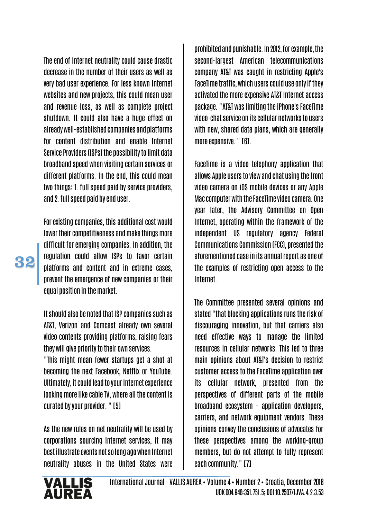The end of Internet neutrality could cause drastic decrease in the number of their users as well as very bad user experience. For less known Internet websites and new projects, this could mean user and revenue loss, as well as complete project shutdown. It could also have a huge effect on already well-established companies and platforms for content distribution and enable Internet Service Providers (ISPs) the possibility to limit data broadband speed when visiting certain services or different platforms. In the end, this could mean two things: 1. full speed paid by service providers, and 2. full speed paid by end user.

For existing companies, this additional cost would lower their competitiveness and make things more difficult for emerging companies. In addition, the regulation could allow ISPs to favor certain platforms and content and in extreme cases, prevent the emergence of new companies or their equal position in the market.

It should also be noted that ISP companies such as AT&T, Verizon and Comcast already own several video contents providing platforms, raising fears they will give priority to their own services.

"This might mean fewer startups get a shot at becoming the next Facebook, Netflix or YouTube. Ultimately, it could lead to your Internet experience looking more like cable TV, where all the content is curated by your provider. " [5]

As the new rules on net neutrality will be used by corporations sourcing Internet services, it may best illustrate events not so long ago when Internet neutrality abuses in the United States were

prohibited and punishable. In 2012, for example, the second-largest American telecommunications company AT&T was caught in restricting Apple's FaceTime traffic, which users could use only if they activated the more expensive AT&T Internet access package. "AT&T was limiting the iPhone's FaceTime video-chat service on its cellular networks to users with new, shared data plans, which are generally more expensive. " [6].

FaceTime is a video telephony application that allows Apple users to view and chat using the front video camera on iOS mobile devices or any Apple Mac computer with the FaceTime videocamera. One year later, the Advisory Committee on Open Internet, operating within the framework of the independent US regulatory agency Federal Communications Commission (FCC), presented the aforementioned case in its annual report as one of the examples of restricting open access to the Internet.

The Committee presented several opinions and stated "that blocking applications runs the risk of discouraging innovation, but that carriers also need effective ways to manage the limited resources in cellular networks. This led to three main opinions about AT&T's decision to restrict customer access to the FaceTime application over its cellular network, presented from the perspectives of different parts of the mobile broadband ecosystem - application developers, carriers, and network equipment vendors. These opinions convey the conclusions of advocates for these perspectives among the working-group members, but do not attempt to fully represent each community." [7]

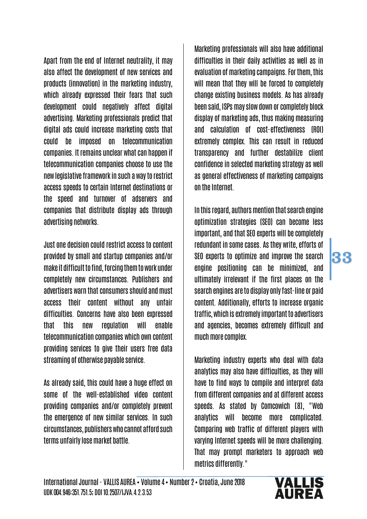Apart from the end of Internet neutrality, it may also affect the development of new services and products (innovation) in the marketing industry, which already expressed their fears that such development could negatively affect digital advertising. Marketing professionals predict that digital ads could increase marketing costs that could be imposed on telecommunication companies. It remains unclear what can happen if telecommunication companies choose to use the new legislative framework in such a way to restrict access speeds to certain Internet destinations or the speed and turnover of adservers and companies that distribute display ads through advertising networks.

Just one decision could restrict access to content provided by small and startup companies and/or make it difficult to find, forcing them to work under completely new circumstances. Publishers and advertisers warn that consumers should and must access their content without any unfair difficulties. Concerns have also been expressed that this new regulation will enable telecommunication companies which own content providing services to give their users free data streaming of otherwise payable service.

As already said, this could have a huge effect on some of the well-established video content providing companies and/or completely prevent the emergence of new similar services. In such circumstances, publishers who cannot afford such terms unfairly lose market battle.

Marketing professionals will also have additional difficulties in their daily activities as well as in evaluation of marketing campaigns. For them, this will mean that they will be forced to completely change existing business models. As has already been said, ISPs may slow down or completely block display of marketing ads, thus making measuring and calculation of cost-effectiveness (ROI) extremely complex. This can result in reduced transparency and further destabilize client confidence in selected marketing strategy as well as general effectiveness of marketing campaigns on the Internet.

In this regard, authors mention that search engine optimization strategies (SEO) can become less important, and that SEO experts will be completely redundant in some cases. As they write, efforts of SEO experts to optimize and improve the search engine positioning can be minimized, and ultimately irrelevant if the first places on the search engines are to display only fast-line or paid content. Additionally, efforts to increase organic traffic, which is extremely important to advertisers and agencies, becomes extremely difficult and much more complex.

33

Marketing industry experts who deal with data analytics may also have difficulties, as they will have to find ways to compile and interpret data from different companies and at different access speeds. As stated by Comcowich [8], "Web analytics will become more complicated. Comparing web traffic of different players with varying Internet speeds will be more challenging. That may prompt marketers to approach web metrics differently."

# **VALLIS**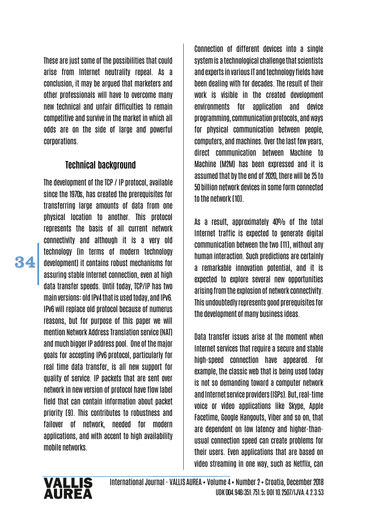These are just some of the possibilities that could arise from Internet neutrality repeal. As a conclusion, it may be argued that marketers and other professionals will have to overcome many new technical and unfair difficulties to remain competitive and survive in the market in which all odds are on the side of large and powerful corporations.

#### Technical background

The development of the TCP / IP protocol, available since the 1970s, has created the prerequisites for transferring large amounts of data from one physical location to another. This protocol represents the basis of all current network connectivity and although it is a very old technology (in terms of modern technology development) it contains robust mechanisms for assuring stable Internet connection, even at high data transfer speeds. Until today, TCP/IP has two main versions: old IPv4 that is used today, and IPv6. IPv6 will replace old protocol because of numerus reasons, but for purpose of this paper we will mention Network Address Translation service (NAT) and much bigger IP address pool. One of the major goals for accepting IPv6 protocol, particularly for real time data transfer, is all new support for quality of service. IP packets that are sent over network in new version of protocol have flow label field that can contain information about packet priority [9]. This contributes to robustness and failover of network, needed for modern applications, and with accent to high availability mobile networks.

Connection of different devices into a single system is a technological challenge that scientists and experts in various IT and technology fields have been dealing with for decades. The result of their work is visible in the created development environments for application and device programming, communication protocols, and ways for physical communication between people, computers, and machines. Over the last few years, direct communication between Machine to Machine (M2M) has been expressed and it is assumed that by the end of 2020, there will be 25 to 50 billion network devices in some form connected to the network [10].

As a result, approximately 40% of the total Internet traffic is expected to generate digital communication between the two [11], without any human interaction. Such predictions are certainly a remarkable innovation potential, and it is expected to explore several new opportunities arising from the explosion of network connectivity. This undoubtedly represents good prerequisites for the development of many business ideas.

Data transfer issues arise at the moment when Internet services that require a secure and stable high-speed connection have appeared. For example, the classic web that is being used today is not so demanding toward a computer network and Internet service providers (ISPs). But, real-time voice or video applications like Skype, Apple Facetime, Google Hangouts, Viber and so on, that are dependent on low latency and higher-thanusual connection speed can create problems for their users. Even applications that are based on video streaming in one way, such as Netflix, can

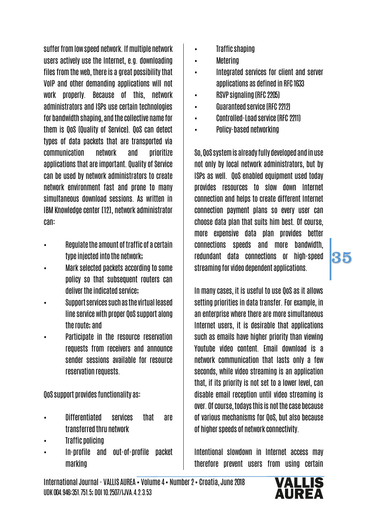suffer from low speed network. If multiple network users actively use the Internet, e.g. downloading files from the web, there is a great possibility that VoIP and other demanding applications will not work properly. Because of this, network administrators and ISPs use certain technologies for bandwidth shaping, and the collective name for them is QoS (Quality of Service). QoS can detect types of data packets that are transported via communication network and prioritize applications that are important. Quality of Service can be used by network administrators to create network environment fast and prone to many simultaneous download sessions. As written in IBM Knowledge center [12], network administrator can:

- Regulate the amount of traffic of a certain type injected into the network;
- Mark selected packets according to some policy so that subsequent routers can deliver the indicated service;
- Support services such as the virtual leased line service with proper QoS support along the route; and
- Participate in the resource reservation requests from receivers and announce sender sessions available for resource reservation requests.

QoS support provides functionality as:

- Differentiated services that are transferred thru network
- Traffic policing
- In-profile and out-of-profile packet marking
- Traffic shaping
- Metering
- Integrated services for client and server applications as defined in RFC 1633
- RSVP signaling (RFC 2205)
- Guaranteed service (RFC 2212)
- Controlled-Load service (RFC 2211)
- Policy-based networking

So, QoS system is already fully developed and in use not only by local network administrators, but by ISPs as well. QoS enabled equipment used today provides resources to slow down Internet connection and helps to create different Internet connection payment plans so every user can choose data plan that suits him best. Of course, more expensive data plan provides better connections speeds and more bandwidth, redundant data connections or high-speed streaming for video dependent applications.

In many cases, it is useful to use QoS as it allows setting priorities in data transfer. For example, in an enterprise where there are more simultaneous Internet users, it is desirable that applications such as emails have higher priority than viewing Youtube video content. Email download is a network communication that lasts only a few seconds, while video streaming is an application that, if its priority is not set to a lower level, can disable email reception until video streaming is over. Of course, todays this is not the case because of various mechanisms for QoS, but also because of higher speeds of network connectivity.

Intentional slowdown in Internet access may therefore prevent users from using certain

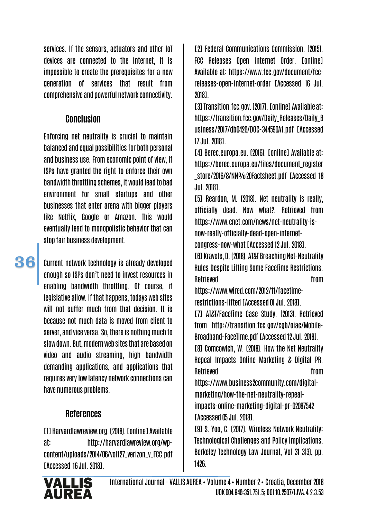services. If the sensors, actuators and other IoT devices are connected to the Internet, it is impossible to create the prerequisites for a new generation of services that result from comprehensive and powerful network connectivity.

#### **Conclusion**

Enforcing net neutrality is crucial to maintain balanced and equal possibilities for both personal and business use. From economic point of view, if ISPs have granted the right to enforce their own bandwidth throttling schemes, it would lead to bad environment for small startups and other businesses that enter arena with bigger players like Netflix, Google or Amazon. This would eventually lead to monopolistic behavior that can stop fair business development.

Current network technology is already developed enough so ISPs don't need to invest resources in enabling bandwidth throttling. Of course, if legislative allow. If that happens, todays web sites will not suffer much from that decision. It is because not much data is moved from client to server, and vice versa. So, there is nothing much to slow down. But, modern web sites that are based on video and audio streaming, high bandwidth demanding applications, and applications that requires very low latency network connections can have numerous problems.

# References

[1] Harvardlawreview.org. (2018). [online] Available at: http://harvardlawreview.org/wpcontent/uploads/2014/06/vol127\_verizon\_v\_FCC.pdf [Accessed 16 Jul. 2018].

[2] Federal Communications Commission. (2015). FCC Releases Open Internet Order. [online] Available at: https://www.fcc.gov/document/fccreleases-open-internet-order [Accessed 16 Jul. 2018].

[3]Transition.fcc.gov. (2017). [online] Available at: https://transition.fcc.gov/Daily\_Releases/Daily\_B usiness/2017/db0426/DOC-344590A1.pdf [Accessed 17 Jul. 2018].

[4] Berec.europa.eu. (2016). [online] Available at: https://berec.europa.eu/files/document\_register \_store/2016/8/NN%20Factsheet.pdf [Accessed 18 Jul. 2018].

[5] Reardon, M. (2018). Net neutrality is really, officially dead. Now what?. Retrieved from https://www.cnet.com/news/net-neutrality-isnow-really-officially-dead-open-internetcongress-now-what [Accessed 12 Jul. 2018].

[6] Kravets, D. (2018). AT&T Breaching Net-Neutrality Rules Despite Lifting Some FaceTime Restrictions. Retrieved **from** 

https://www.wired.com/2012/11/facetimerestrictions-lifted [Accessed 01 Jul. 2018].

[7] AT&T/FaceTime Case Study. (2013). Retrieved from http://transition.fcc.gov/cgb/oiac/Mobile-Broadband-FaceTime.pdf [Accessed 12 Jul. 2018].

[8] Comcowich, W. (2018). How the Net Neutrality Repeal Impacts Online Marketing & Digital PR. Retrieved **from** 

https://www.business2community.com/digitalmarketing/how-the-net-neutrality-repealimpacts-online-marketing-digital-pr-02087542 [Accessed 05 Jul. 2018].

[9] S. Yoo, C. (2017). Wireless Network Neutrality: Technological Challenges and Policy Implications. Berkeley Technology Law Journal, Vol 31 3(3), pp. 1426.



International Journal - VALLIS AUREA • Volume 4• Number 2 • Croatia, December 2018 UDK 004.946:351.751.5; DOI 10.2507/IJVA.4.2.3.53